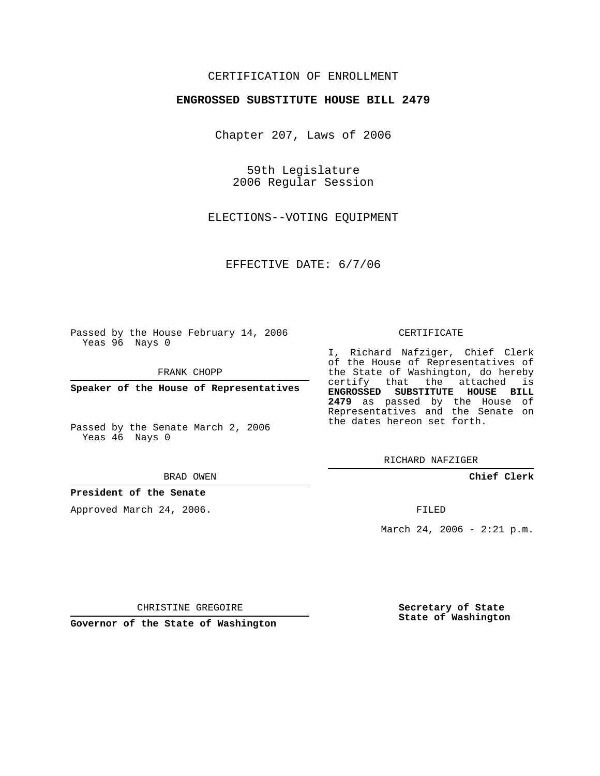## CERTIFICATION OF ENROLLMENT

### **ENGROSSED SUBSTITUTE HOUSE BILL 2479**

Chapter 207, Laws of 2006

59th Legislature 2006 Regular Session

ELECTIONS--VOTING EQUIPMENT

EFFECTIVE DATE: 6/7/06

Passed by the House February 14, 2006 Yeas 96 Nays 0

FRANK CHOPP

**Speaker of the House of Representatives**

Passed by the Senate March 2, 2006 Yeas 46 Nays 0

#### BRAD OWEN

### **President of the Senate**

Approved March 24, 2006.

#### CERTIFICATE

I, Richard Nafziger, Chief Clerk of the House of Representatives of the State of Washington, do hereby certify that the attached is **ENGROSSED SUBSTITUTE HOUSE BILL 2479** as passed by the House of Representatives and the Senate on the dates hereon set forth.

RICHARD NAFZIGER

**Chief Clerk**

FILED

March 24, 2006 - 2:21 p.m.

CHRISTINE GREGOIRE

**Governor of the State of Washington**

**Secretary of State State of Washington**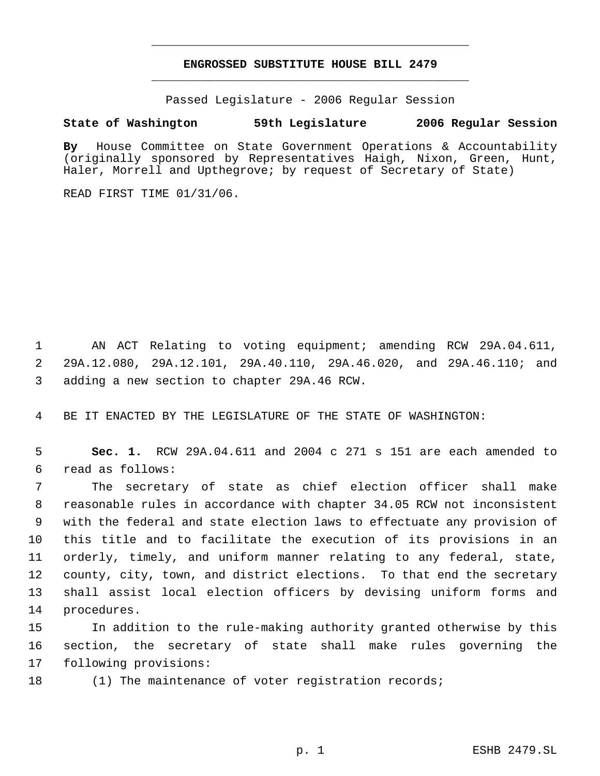# **ENGROSSED SUBSTITUTE HOUSE BILL 2479** \_\_\_\_\_\_\_\_\_\_\_\_\_\_\_\_\_\_\_\_\_\_\_\_\_\_\_\_\_\_\_\_\_\_\_\_\_\_\_\_\_\_\_\_\_

\_\_\_\_\_\_\_\_\_\_\_\_\_\_\_\_\_\_\_\_\_\_\_\_\_\_\_\_\_\_\_\_\_\_\_\_\_\_\_\_\_\_\_\_\_

Passed Legislature - 2006 Regular Session

## **State of Washington 59th Legislature 2006 Regular Session**

**By** House Committee on State Government Operations & Accountability (originally sponsored by Representatives Haigh, Nixon, Green, Hunt, Haler, Morrell and Upthegrove; by request of Secretary of State)

READ FIRST TIME 01/31/06.

 AN ACT Relating to voting equipment; amending RCW 29A.04.611, 29A.12.080, 29A.12.101, 29A.40.110, 29A.46.020, and 29A.46.110; and adding a new section to chapter 29A.46 RCW.

BE IT ENACTED BY THE LEGISLATURE OF THE STATE OF WASHINGTON:

 **Sec. 1.** RCW 29A.04.611 and 2004 c 271 s 151 are each amended to read as follows:

 The secretary of state as chief election officer shall make reasonable rules in accordance with chapter 34.05 RCW not inconsistent with the federal and state election laws to effectuate any provision of this title and to facilitate the execution of its provisions in an orderly, timely, and uniform manner relating to any federal, state, county, city, town, and district elections. To that end the secretary shall assist local election officers by devising uniform forms and procedures.

 In addition to the rule-making authority granted otherwise by this section, the secretary of state shall make rules governing the following provisions:

(1) The maintenance of voter registration records;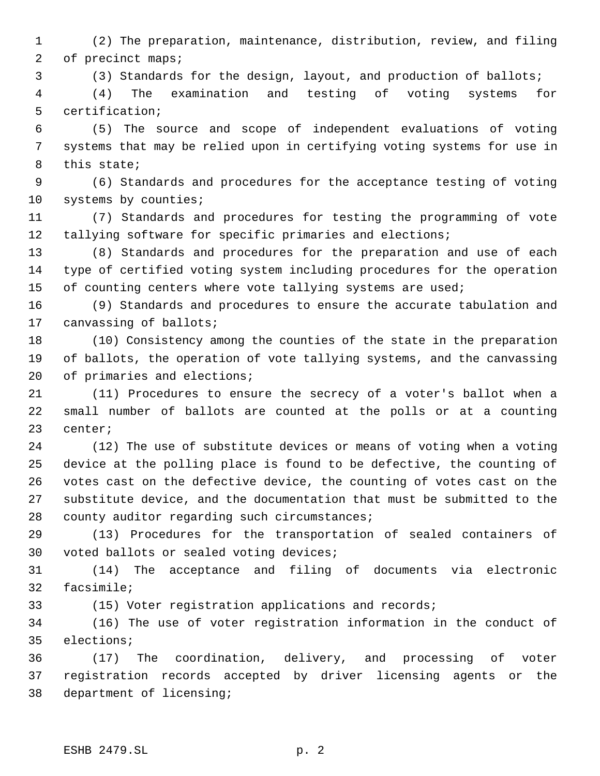(2) The preparation, maintenance, distribution, review, and filing of precinct maps;

(3) Standards for the design, layout, and production of ballots;

 (4) The examination and testing of voting systems for certification;

 (5) The source and scope of independent evaluations of voting systems that may be relied upon in certifying voting systems for use in this state;

 (6) Standards and procedures for the acceptance testing of voting 10 systems by counties;

 (7) Standards and procedures for testing the programming of vote tallying software for specific primaries and elections;

 (8) Standards and procedures for the preparation and use of each type of certified voting system including procedures for the operation 15 of counting centers where vote tallying systems are used;

 (9) Standards and procedures to ensure the accurate tabulation and canvassing of ballots;

 (10) Consistency among the counties of the state in the preparation of ballots, the operation of vote tallying systems, and the canvassing 20 of primaries and elections;

 (11) Procedures to ensure the secrecy of a voter's ballot when a small number of ballots are counted at the polls or at a counting center;

 (12) The use of substitute devices or means of voting when a voting device at the polling place is found to be defective, the counting of votes cast on the defective device, the counting of votes cast on the substitute device, and the documentation that must be submitted to the county auditor regarding such circumstances;

 (13) Procedures for the transportation of sealed containers of voted ballots or sealed voting devices;

 (14) The acceptance and filing of documents via electronic facsimile;

(15) Voter registration applications and records;

 (16) The use of voter registration information in the conduct of elections;

 (17) The coordination, delivery, and processing of voter registration records accepted by driver licensing agents or the department of licensing;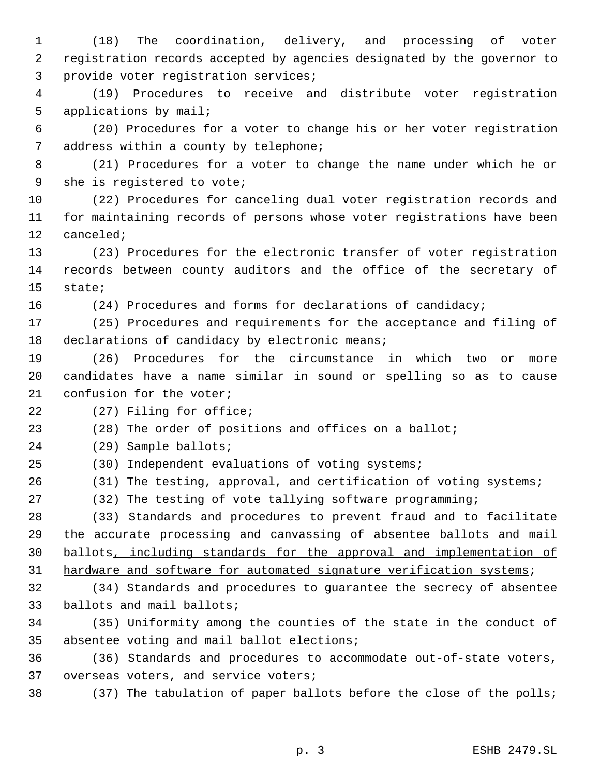(18) The coordination, delivery, and processing of voter registration records accepted by agencies designated by the governor to provide voter registration services;

 (19) Procedures to receive and distribute voter registration applications by mail;

 (20) Procedures for a voter to change his or her voter registration 7 address within a county by telephone;

 (21) Procedures for a voter to change the name under which he or she is registered to vote;

 (22) Procedures for canceling dual voter registration records and for maintaining records of persons whose voter registrations have been canceled;

 (23) Procedures for the electronic transfer of voter registration records between county auditors and the office of the secretary of state;

(24) Procedures and forms for declarations of candidacy;

 (25) Procedures and requirements for the acceptance and filing of 18 declarations of candidacy by electronic means;

 (26) Procedures for the circumstance in which two or more candidates have a name similar in sound or spelling so as to cause confusion for the voter;

(27) Filing for office;

(28) The order of positions and offices on a ballot;

(29) Sample ballots;

(30) Independent evaluations of voting systems;

(31) The testing, approval, and certification of voting systems;

(32) The testing of vote tallying software programming;

 (33) Standards and procedures to prevent fraud and to facilitate the accurate processing and canvassing of absentee ballots and mail ballots, including standards for the approval and implementation of 31 hardware and software for automated signature verification systems;

 (34) Standards and procedures to guarantee the secrecy of absentee ballots and mail ballots;

 (35) Uniformity among the counties of the state in the conduct of absentee voting and mail ballot elections;

 (36) Standards and procedures to accommodate out-of-state voters, overseas voters, and service voters;

(37) The tabulation of paper ballots before the close of the polls;

p. 3 ESHB 2479.SL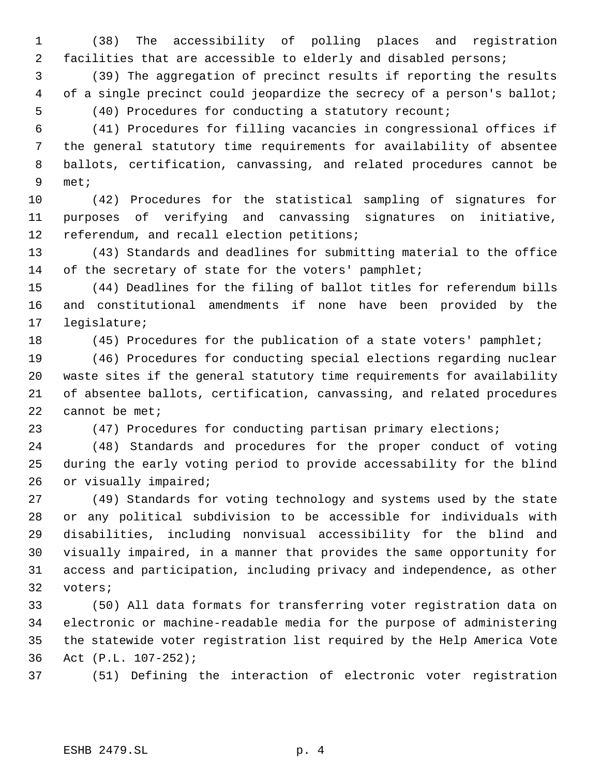(38) The accessibility of polling places and registration facilities that are accessible to elderly and disabled persons;

 (39) The aggregation of precinct results if reporting the results 4 of a single precinct could jeopardize the secrecy of a person's ballot; (40) Procedures for conducting a statutory recount;

 (41) Procedures for filling vacancies in congressional offices if the general statutory time requirements for availability of absentee ballots, certification, canvassing, and related procedures cannot be met;

 (42) Procedures for the statistical sampling of signatures for purposes of verifying and canvassing signatures on initiative, referendum, and recall election petitions;

 (43) Standards and deadlines for submitting material to the office 14 of the secretary of state for the voters' pamphlet;

 (44) Deadlines for the filing of ballot titles for referendum bills and constitutional amendments if none have been provided by the legislature;

(45) Procedures for the publication of a state voters' pamphlet;

 (46) Procedures for conducting special elections regarding nuclear waste sites if the general statutory time requirements for availability of absentee ballots, certification, canvassing, and related procedures 22 cannot be met;

(47) Procedures for conducting partisan primary elections;

 (48) Standards and procedures for the proper conduct of voting during the early voting period to provide accessability for the blind or visually impaired;

 (49) Standards for voting technology and systems used by the state or any political subdivision to be accessible for individuals with disabilities, including nonvisual accessibility for the blind and visually impaired, in a manner that provides the same opportunity for access and participation, including privacy and independence, as other voters;

 (50) All data formats for transferring voter registration data on electronic or machine-readable media for the purpose of administering the statewide voter registration list required by the Help America Vote Act (P.L. 107-252);

(51) Defining the interaction of electronic voter registration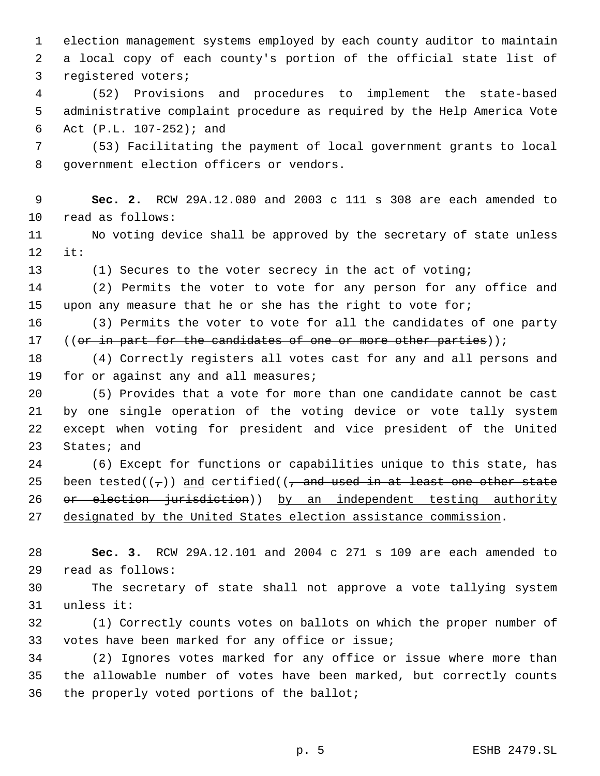election management systems employed by each county auditor to maintain a local copy of each county's portion of the official state list of registered voters;

 (52) Provisions and procedures to implement the state-based administrative complaint procedure as required by the Help America Vote Act (P.L. 107-252); and

 (53) Facilitating the payment of local government grants to local government election officers or vendors.

 **Sec. 2.** RCW 29A.12.080 and 2003 c 111 s 308 are each amended to read as follows:

 No voting device shall be approved by the secretary of state unless it:

(1) Secures to the voter secrecy in the act of voting;

 (2) Permits the voter to vote for any person for any office and 15 upon any measure that he or she has the right to vote for;

 (3) Permits the voter to vote for all the candidates of one party 17 ((or in part for the candidates of one or more other parties));

 (4) Correctly registers all votes cast for any and all persons and 19 for or against any and all measures;

 (5) Provides that a vote for more than one candidate cannot be cast by one single operation of the voting device or vote tally system except when voting for president and vice president of the United States; and

 (6) Except for functions or capabilities unique to this state, has 25 been tested( $(\tau)$ ) and certified( $(\tau$  and used in at least one other state 26 or election jurisdiction)) by an independent testing authority designated by the United States election assistance commission.

 **Sec. 3.** RCW 29A.12.101 and 2004 c 271 s 109 are each amended to read as follows:

 The secretary of state shall not approve a vote tallying system unless it:

 (1) Correctly counts votes on ballots on which the proper number of votes have been marked for any office or issue;

 (2) Ignores votes marked for any office or issue where more than the allowable number of votes have been marked, but correctly counts the properly voted portions of the ballot;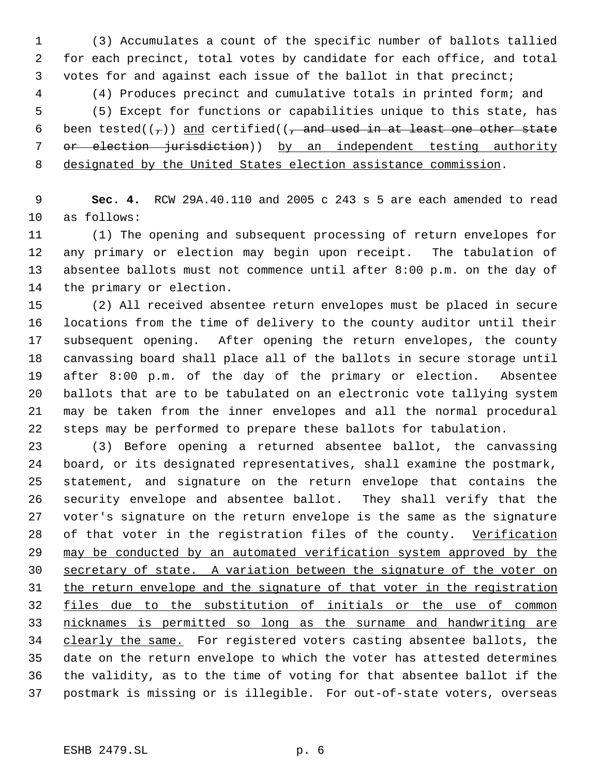(3) Accumulates a count of the specific number of ballots tallied for each precinct, total votes by candidate for each office, and total votes for and against each issue of the ballot in that precinct;

 (4) Produces precinct and cumulative totals in printed form; and (5) Except for functions or capabilities unique to this state, has 6 been tested( $(\tau)$ ) and certified( $(\tau)$  and used in at least one other state 7 or election jurisdiction)) by an independent testing authority designated by the United States election assistance commission.

 **Sec. 4.** RCW 29A.40.110 and 2005 c 243 s 5 are each amended to read as follows:

 (1) The opening and subsequent processing of return envelopes for any primary or election may begin upon receipt. The tabulation of absentee ballots must not commence until after 8:00 p.m. on the day of the primary or election.

 (2) All received absentee return envelopes must be placed in secure locations from the time of delivery to the county auditor until their subsequent opening. After opening the return envelopes, the county canvassing board shall place all of the ballots in secure storage until after 8:00 p.m. of the day of the primary or election. Absentee ballots that are to be tabulated on an electronic vote tallying system may be taken from the inner envelopes and all the normal procedural steps may be performed to prepare these ballots for tabulation.

 (3) Before opening a returned absentee ballot, the canvassing board, or its designated representatives, shall examine the postmark, statement, and signature on the return envelope that contains the security envelope and absentee ballot. They shall verify that the voter's signature on the return envelope is the same as the signature 28 of that voter in the registration files of the county. Verification may be conducted by an automated verification system approved by the secretary of state. A variation between the signature of the voter on the return envelope and the signature of that voter in the registration files due to the substitution of initials or the use of common nicknames is permitted so long as the surname and handwriting are 34 clearly the same. For registered voters casting absentee ballots, the date on the return envelope to which the voter has attested determines the validity, as to the time of voting for that absentee ballot if the postmark is missing or is illegible. For out-of-state voters, overseas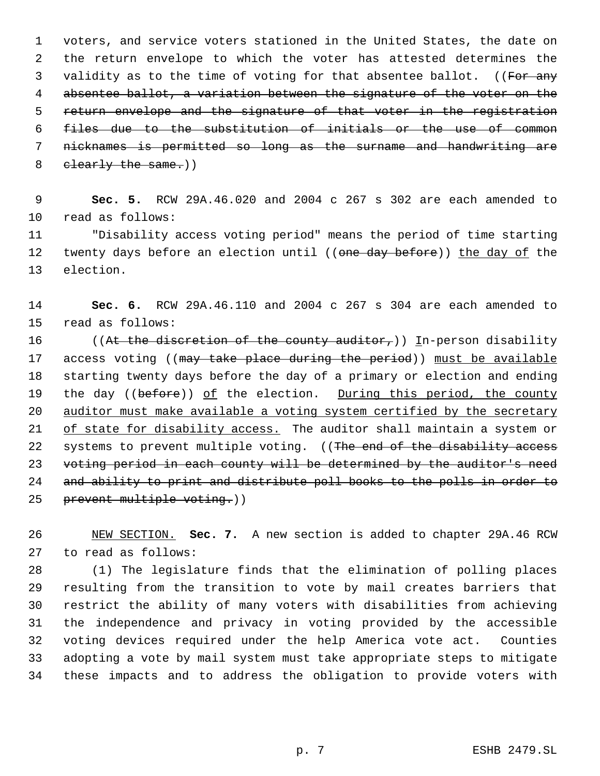voters, and service voters stationed in the United States, the date on the return envelope to which the voter has attested determines the 3 validity as to the time of voting for that absentee ballot. ((For any absentee ballot, a variation between the signature of the voter on the 5 return envelope and the signature of that voter in the registration files due to the substitution of initials or the use of common nicknames is permitted so long as the surname and handwriting are 8 clearly the same.))

 **Sec. 5.** RCW 29A.46.020 and 2004 c 267 s 302 are each amended to read as follows:

 "Disability access voting period" means the period of time starting 12 twenty days before an election until ((one day before)) the day of the election.

 **Sec. 6.** RCW 29A.46.110 and 2004 c 267 s 304 are each amended to read as follows:

16 ((At the discretion of the county auditor,)) In-person disability 17 access voting ((may take place during the period)) must be available starting twenty days before the day of a primary or election and ending 19 the day ((before)) of the election. During this period, the county auditor must make available a voting system certified by the secretary 21 of state for disability access. The auditor shall maintain a system or 22 systems to prevent multiple voting. ((The end of the disability access voting period in each county will be determined by the auditor's need and ability to print and distribute poll books to the polls in order to 25 prevent multiple voting.))

 NEW SECTION. **Sec. 7.** A new section is added to chapter 29A.46 RCW to read as follows:

 (1) The legislature finds that the elimination of polling places resulting from the transition to vote by mail creates barriers that restrict the ability of many voters with disabilities from achieving the independence and privacy in voting provided by the accessible voting devices required under the help America vote act. Counties adopting a vote by mail system must take appropriate steps to mitigate these impacts and to address the obligation to provide voters with